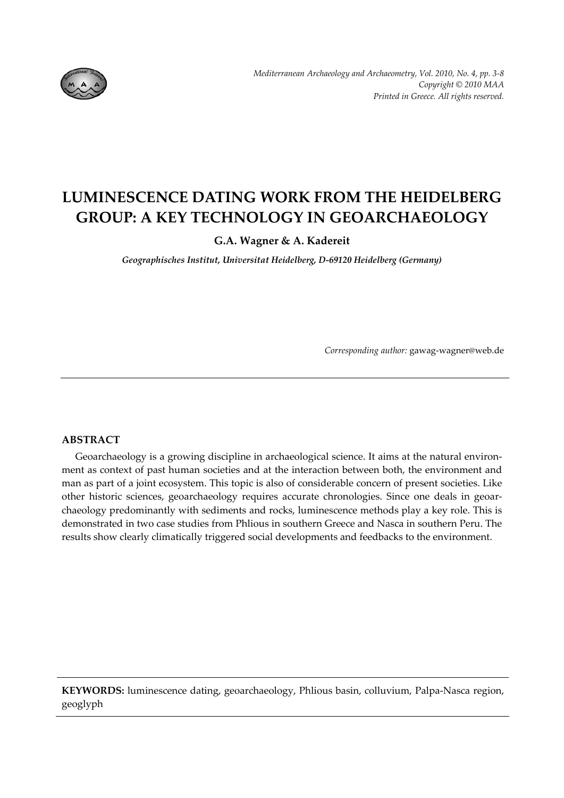

# **LUMINESCENCE DATING WORK FROM THE HEIDELBERG GROUP: A KEY TECHNOLOGY IN GEOARCHAEOLOGY**

**G.A. Wagner & A. Kadereit**

*Geographisches Institut, Universitat Heidelberg, D‐69120 Heidelberg (Germany)*

*Corresponding author:* gawag‐wagner@web.de

## **ABSTRACT**

Geoarchaeology is a growing discipline in archaeological science. It aims at the natural environment as context of past human societies and at the interaction between both, the environment and man as part of a joint ecosystem. This topic is also of considerable concern of present societies. Like other historic sciences, geoarchaeology requires accurate chronologies. Since one deals in geoar‐ chaeology predominantly with sediments and rocks, luminescence methods play a key role. This is demonstrated in two case studies from Phlious in southern Greece and Nasca in southern Peru. The results show clearly climatically triggered social developments and feedbacks to the environment.

**KEYWORDS:** luminescence dating, geoarchaeology, Phlious basin, colluvium, Palpa‐Nasca region, geoglyph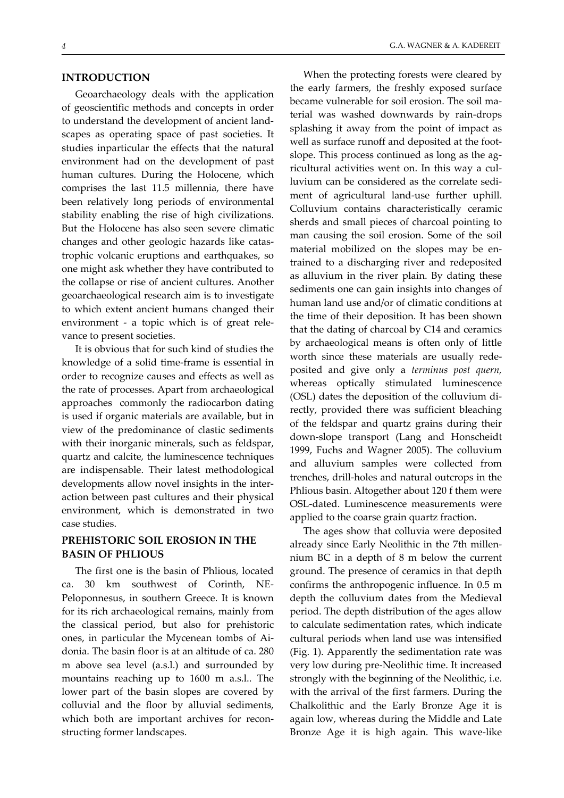#### **INTRODUCTION**

Geoarchaeology deals with the application of geoscientific methods and concepts in order to understand the development of ancient land‐ scapes as operating space of past societies. It studies inparticular the effects that the natural environment had on the development of past human cultures. During the Holocene, which comprises the last 11.5 millennia, there have been relatively long periods of environmental stability enabling the rise of high civilizations. But the Holocene has also seen severe climatic changes and other geologic hazards like catas‐ trophic volcanic eruptions and earthquakes, so one might ask whether they have contributed to the collapse or rise of ancient cultures. Another geoarchaeological research aim is to investigate to which extent ancient humans changed their environment - a topic which is of great relevance to present societies.

It is obvious that for such kind of studies the knowledge of a solid time‐frame is essential in order to recognize causes and effects as well as the rate of processes. Apart from archaeological approaches commonly the radiocarbon dating is used if organic materials are available, but in view of the predominance of clastic sediments with their inorganic minerals, such as feldspar, quartz and calcite, the luminescence techniques are indispensable. Their latest methodological developments allow novel insights in the inter‐ action between past cultures and their physical environment, which is demonstrated in two case studies.

## **PREHISTORIC SOIL EROSION IN THE BASIN OF PHLIOUS**

The first one is the basin of Phlious, located ca. 30 km southwest of Corinth, NE‐ Peloponnesus, in southern Greece. It is known for its rich archaeological remains, mainly from the classical period, but also for prehistoric ones, in particular the Mycenean tombs of Ai‐ donia. The basin floor is at an altitude of ca. 280 m above sea level (a.s.l.) and surrounded by mountains reaching up to 1600 m a.s.l.. The lower part of the basin slopes are covered by colluvial and the floor by alluvial sediments, which both are important archives for reconstructing former landscapes.

When the protecting forests were cleared by the early farmers, the freshly exposed surface became vulnerable for soil erosion. The soil ma‐ terial was washed downwards by rain‐drops splashing it away from the point of impact as well as surface runoff and deposited at the footslope. This process continued as long as the agricultural activities went on. In this way a cul‐ luvium can be considered as the correlate sedi‐ ment of agricultural land‐use further uphill. Colluvium contains characteristically ceramic sherds and small pieces of charcoal pointing to man causing the soil erosion. Some of the soil material mobilized on the slopes may be entrained to a discharging river and redeposited as alluvium in the river plain. By dating these sediments one can gain insights into changes of human land use and/or of climatic conditions at the time of their deposition. It has been shown that the dating of charcoal by C14 and ceramics by archaeological means is often only of little worth since these materials are usually rede‐ posited and give only a *terminus post quern,* whereas optically stimulated luminescence (OSL) dates the deposition of the colluvium di‐ rectly, provided there was sufficient bleaching of the feldspar and quartz grains during their down‐slope transport (Lang and Honscheidt 1999, Fuchs and Wagner 2005). The colluvium and alluvium samples were collected from trenches, drill‐holes and natural outcrops in the Phlious basin. Altogether about 120 f them were OSL‐dated. Luminescence measurements were applied to the coarse grain quartz fraction.

The ages show that colluvia were deposited already since Early Neolithic in the 7th millen‐ nium BC in a depth of 8 m below the current ground. The presence of ceramics in that depth confirms the anthropogenic influence. In 0.5 m depth the colluvium dates from the Medieval period. The depth distribution of the ages allow to calculate sedimentation rates, which indicate cultural periods when land use was intensified (Fig. 1). Apparently the sedimentation rate was very low during pre‐Neolithic time. It increased strongly with the beginning of the Neolithic, i.e. with the arrival of the first farmers. During the Chalkolithic and the Early Bronze Age it is again low, whereas during the Middle and Late Bronze Age it is high again. This wave‐like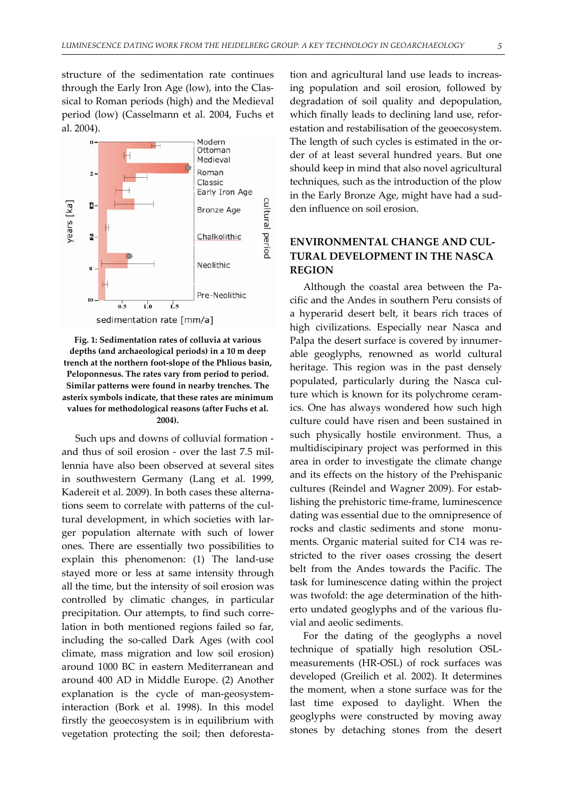structure of the sedimentation rate continues through the Early Iron Age (low), into the Clas‐ sical to Roman periods (high) and the Medieval period (low) (Casselmann et al. 2004, Fuchs et al. 2004).



**Fig. 1: Sedimentation rates of colluvia at various depths (and archaeological periods) in a 10 m deep trench at the northern foot‐slope of the Phlious basin, Peloponnesus. The rates vary from period to period. Similar patterns were found in nearby trenches. The asterix symbols indicate, that these rates are minimum values for methodological reasons (after Fuchs et al. 2004).**

Such ups and downs of colluvial formation ‐ and thus of soil erosion - over the last 7.5 millennia have also been observed at several sites in southwestern Germany (Lang et al. 1999, Kadereit et al. 2009). In both cases these alterna‐ tions seem to correlate with patterns of the cul‐ tural development, in which societies with larger population alternate with such of lower ones. There are essentially two possibilities to explain this phenomenon: (1) The land‐use stayed more or less at same intensity through all the time, but the intensity of soil erosion was controlled by climatic changes, in particular precipitation. Our attempts, to find such corre‐ lation in both mentioned regions failed so far, including the so-called Dark Ages (with cool climate, mass migration and low soil erosion) around 1000 BC in eastern Mediterranean and around 400 AD in Middle Europe. (2) Another explanation is the cycle of man-geosysteminteraction (Bork et al. 1998). In this model firstly the geoecosystem is in equilibrium with vegetation protecting the soil; then deforesta‐

tion and agricultural land use leads to increas‐ ing population and soil erosion, followed by degradation of soil quality and depopulation, which finally leads to declining land use, reforestation and restabilisation of the geoecosystem. The length of such cycles is estimated in the order of at least several hundred years. But one should keep in mind that also novel agricultural techniques, such as the introduction of the plow in the Early Bronze Age, might have had a sud‐ den influence on soil erosion.

## **ENVIRONMENTAL CHANGE AND CUL‐ TURAL DEVELOPMENT IN THE NASCA REGION**

Although the coastal area between the Pa‐ cific and the Andes in southern Peru consists of a hyperarid desert belt, it bears rich traces of high civilizations. Especially near Nasca and Palpa the desert surface is covered by innumerable geoglyphs, renowned as world cultural heritage. This region was in the past densely populated, particularly during the Nasca cul‐ ture which is known for its polychrome ceram‐ ics. One has always wondered how such high culture could have risen and been sustained in such physically hostile environment. Thus, a multidiscipinary project was performed in this area in order to investigate the climate change and its effects on the history of the Prehispanic cultures (Reindel and Wagner 2009). For estab‐ lishing the prehistoric time‐frame, luminescence dating was essential due to the omnipresence of rocks and clastic sediments and stone monuments. Organic material suited for C14 was restricted to the river oases crossing the desert belt from the Andes towards the Pacific. The task for luminescence dating within the project was twofold: the age determination of the hitherto undated geoglyphs and of the various flu‐ vial and aeolic sediments.

For the dating of the geoglyphs a novel technique of spatially high resolution OSL‐ measurements (HR‐OSL) of rock surfaces was developed (Greilich et al. 2002). It determines the moment, when a stone surface was for the last time exposed to daylight. When the geoglyphs were constructed by moving away stones by detaching stones from the desert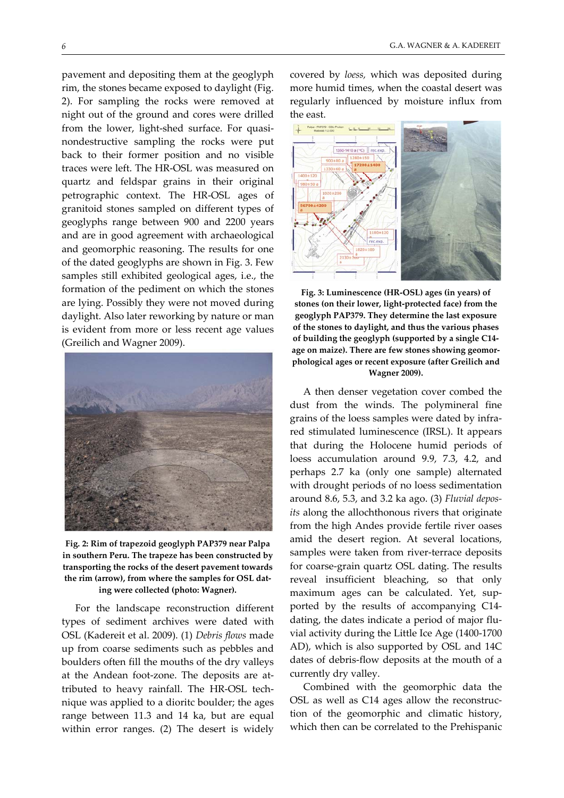pavement and depositing them at the geoglyph rim, the stones became exposed to daylight (Fig. 2). For sampling the rocks were removed at night out of the ground and cores were drilled from the lower, light-shed surface. For quasinondestructive sampling the rocks were put back to their former position and no visible traces were left. The HR‐OSL was measured on quartz and feldspar grains in their original petrographic context. The HR‐OSL ages of granitoid stones sampled on different types of geoglyphs range between 900 and 2200 years and are in good agreement with archaeological and geomorphic reasoning. The results for one of the dated geoglyphs are shown in Fig. 3. Few samples still exhibited geological ages, i.e., the formation of the pediment on which the stones are lying. Possibly they were not moved during daylight. Also later reworking by nature or man is evident from more or less recent age values (Greilich and Wagner 2009).



**Fig. 2: Rim of trapezoid geoglyph PAP379 near Palpa in southern Peru. The trapeze has been constructed by transporting the rocks of the desert pavement towards the rim (arrow), from where the samples for OSL dat‐ ing were collected (photo: Wagner).**

For the landscape reconstruction different types of sediment archives were dated with OSL (Kadereit et al. 2009). (1) *Debris flows* made up from coarse sediments such as pebbles and boulders often fill the mouths of the dry valleys at the Andean foot‐zone. The deposits are at‐ tributed to heavy rainfall. The HR‐OSL tech‐ nique was applied to a dioritc boulder; the ages range between 11.3 and 14 ka, but are equal within error ranges. (2) The desert is widely

covered by *loess,* which was deposited during more humid times, when the coastal desert was regularly influenced by moisture influx from the east.



**Fig. 3: Luminescence (HR‐OSL) ages (in years) of stones (on their lower, light‐protected face) from the geoglyph PAP379. They determine the last exposure of the stones to daylight, and thus the various phases of building the geoglyph (supported by a single C14‐ age on maize). There are few stones showing geomor‐ phological ages or recent exposure (after Greilich and Wagner 2009).**

A then denser vegetation cover combed the dust from the winds. The polymineral fine grains of the loess samples were dated by infra‐ red stimulated luminescence (IRSL). It appears that during the Holocene humid periods of loess accumulation around 9.9, 7.3, 4.2, and perhaps 2.7 ka (only one sample) alternated with drought periods of no loess sedimentation around 8.6, 5.3, and 3.2 ka ago. (3) *Fluvial depos‐ its* along the allochthonous rivers that originate from the high Andes provide fertile river oases amid the desert region. At several locations, samples were taken from river-terrace deposits for coarse‐grain quartz OSL dating. The results reveal insufficient bleaching, so that only maximum ages can be calculated. Yet, sup‐ ported by the results of accompanying C14‐ dating, the dates indicate a period of major flu‐ vial activity during the Little Ice Age (1400‐1700 AD), which is also supported by OSL and 14C dates of debris‐flow deposits at the mouth of a currently dry valley.

Combined with the geomorphic data the OSL as well as C14 ages allow the reconstruc‐ tion of the geomorphic and climatic history, which then can be correlated to the Prehispanic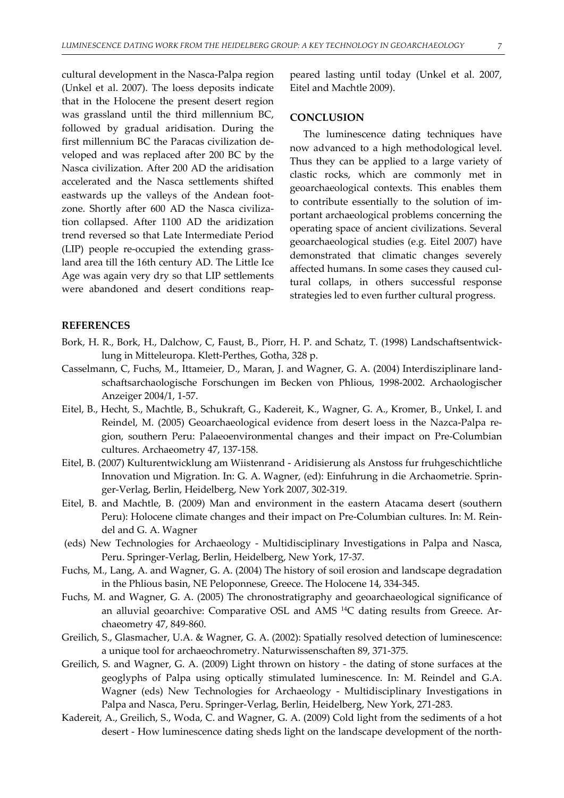cultural development in the Nasca‐Palpa region (Unkel et al. 2007). The loess deposits indicate that in the Holocene the present desert region was grassland until the third millennium BC, followed by gradual aridisation. During the first millennium BC the Paracas civilization de‐ veloped and was replaced after 200 BC by the Nasca civilization. After 200 AD the aridisation accelerated and the Nasca settlements shifted eastwards up the valleys of the Andean foot‐ zone. Shortly after 600 AD the Nasca civiliza‐ tion collapsed. After 1100 AD the aridization trend reversed so that Late Intermediate Period (LIP) people re‐occupied the extending grass‐ land area till the 16th century AD. The Little Ice Age was again very dry so that LIP settlements were abandoned and desert conditions reap‐

peared lasting until today (Unkel et al. 2007, Eitel and Machtle 2009).

#### **CONCLUSION**

The luminescence dating techniques have now advanced to a high methodological level. Thus they can be applied to a large variety of clastic rocks, which are commonly met in geoarchaeological contexts. This enables them to contribute essentially to the solution of im‐ portant archaeological problems concerning the operating space of ancient civilizations. Several geoarchaeological studies (e.g. Eitel 2007) have demonstrated that climatic changes severely affected humans. In some cases they caused cul‐ tural collaps, in others successful response strategies led to even further cultural progress.

### **REFERENCES**

- Bork, H. R., Bork, H., Dalchow, C, Faust, B., Piorr, H. P. and Schatz, T. (1998) Landschaftsentwick‐ lung in Mitteleuropa. Klett‐Perthes, Gotha, 328 p.
- Casselmann, C, Fuchs, M., Ittameier, D., Maran, J. and Wagner, G. A. (2004) Interdisziplinare land‐ schaftsarchaologische Forschungen im Becken von Phlious, 1998‐2002. Archaologischer Anzeiger 2004/1, 1‐57.
- Eitel, B., Hecht, S., Machtle, B., Schukraft, G., Kadereit, K., Wagner, G. A., Kromer, B., Unkel, I. and Reindel, M. (2005) Geoarchaeological evidence from desert loess in the Nazca‐Palpa re‐ gion, southern Peru: Palaeoenvironmental changes and their impact on Pre‐Columbian cultures. Archaeometry 47, 137‐158.
- Eitel, B. (2007) Kulturentwicklung am Wiistenrand ‐ Aridisierung als Anstoss fur fruhgeschichtliche Innovation und Migration. In: G. A. Wagner, (ed): Einfuhrung in die Archaometrie. Sprin‐ ger‐Verlag, Berlin, Heidelberg, New York 2007, 302‐319.
- Eitel, B. and Machtle, B. (2009) Man and environment in the eastern Atacama desert (southern Peru): Holocene climate changes and their impact on Pre-Columbian cultures. In: M. Reindel and G. A. Wagner
- (eds) New Technologies for Archaeology ‐ Multidisciplinary Investigations in Palpa and Nasca, Peru. Springer‐Verlag, Berlin, Heidelberg, New York, 17‐37.
- Fuchs, M., Lang, A. and Wagner, G. A. (2004) The history of soil erosion and landscape degradation in the Phlious basin, NE Peloponnese, Greece. The Holocene 14, 334‐345.
- Fuchs, M. and Wagner, G. A. (2005) The chronostratigraphy and geoarchaeological significance of an alluvial geoarchive: Comparative OSL and AMS<sup>14</sup>C dating results from Greece. Archaeometry 47, 849‐860.
- Greilich, S., Glasmacher, U.A. & Wagner, G. A. (2002): Spatially resolved detection of luminescence: a unique tool for archaeochrometry. Naturwissenschaften 89, 371‐375.
- Greilich, S. and Wagner, G. A. (2009) Light thrown on history ‐ the dating of stone surfaces at the geoglyphs of Palpa using optically stimulated luminescence. In: M. Reindel and G.A. Wagner (eds) New Technologies for Archaeology - Multidisciplinary Investigations in Palpa and Nasca, Peru. Springer‐Verlag, Berlin, Heidelberg, New York, 271‐283.
- Kadereit, A., Greilich, S., Woda, C. and Wagner, G. A. (2009) Cold light from the sediments of a hot desert - How luminescence dating sheds light on the landscape development of the north-